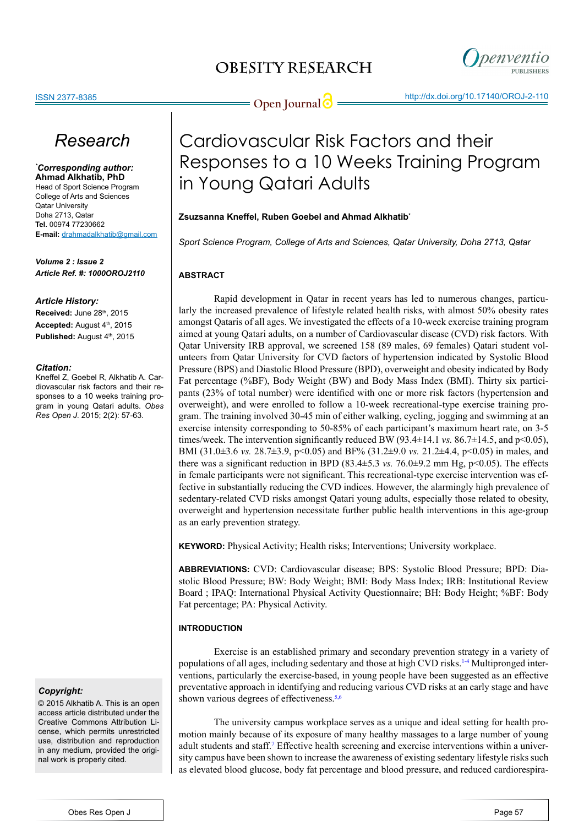

**Open Journal**  $\bigcirc$  **http://dx.doi.org/10.17140/OROJ-2-110** 

## *Research*

*\* Corresponding author:* **Ahmad Alkhatib, PhD**

Head of Sport Science Program College of Arts and Sciences Qatar University Doha 2713, Qatar **Tel.** 00974 77230662 **E-mail:** drahmadalkhatib@gmail.com

*Volume 2 : Issue 2 Article Ref. #: 1000OROJ2110*

#### *Article History:*

**Received: June 28th, 2015** Accepted: August 4<sup>th</sup>, 2015 Published: August 4<sup>th</sup>, 2015

#### *Citation:*

Kneffel Z, Goebel R, Alkhatib A. Cardiovascular risk factors and their responses to a 10 weeks training program in young Qatari adults. *Obes Res Open J*. 2015; 2(2): 57-63.

#### *Copyright:*

© 2015 Alkhatib A. This is an open access article distributed under the Creative Commons Attribution License, which permits unrestricted use, distribution and reproduction in any medium, provided the original work is properly cited.

# Cardiovascular Risk Factors and their Responses to a 10 Weeks Training Program

### **Zsuzsanna Kneffel, Ruben Goebel and Ahmad Alkhatib\***

in Young Qatari Adults

*Sport Science Program, College of Arts and Sciences, Qatar University, Doha 2713, Qatar*

### **ABSTRACT**

Rapid development in Qatar in recent years has led to numerous changes, particularly the increased prevalence of lifestyle related health risks, with almost 50% obesity rates amongst Qataris of all ages. We investigated the effects of a 10-week exercise training program aimed at young Qatari adults, on a number of Cardiovascular disease (CVD) risk factors. With Qatar University IRB approval, we screened 158 (89 males, 69 females) Qatari student volunteers from Qatar University for CVD factors of hypertension indicated by Systolic Blood Pressure (BPS) and Diastolic Blood Pressure (BPD), overweight and obesity indicated by Body Fat percentage (%BF), Body Weight (BW) and Body Mass Index (BMI). Thirty six participants (23% of total number) were identified with one or more risk factors (hypertension and overweight), and were enrolled to follow a 10-week recreational-type exercise training program. The training involved 30-45 min of either walking, cycling, jogging and swimming at an exercise intensity corresponding to 50-85% of each participant's maximum heart rate, on 3-5 times/week. The intervention significantly reduced BW (93.4±14.1 *vs.* 86.7±14.5, and p<0.05), BMI (31.0±3.6 *vs.* 28.7±3.9, p<0.05) and BF% (31.2±9.0 *vs.* 21.2±4.4, p<0.05) in males, and there was a significant reduction in BPD (83.4 $\pm$ 5.3 *vs.* 76.0 $\pm$ 9.2 mm Hg, p<0.05). The effects in female participants were not significant. This recreational-type exercise intervention was effective in substantially reducing the CVD indices. However, the alarmingly high prevalence of sedentary-related CVD risks amongst Qatari young adults, especially those related to obesity, overweight and hypertension necessitate further public health interventions in this age-group as an early prevention strategy.

**KEYWORD:** Physical Activity; Health risks; Interventions; University workplace.

**ABBREVIATIONS:** CVD: Cardiovascular disease; BPS: Systolic Blood Pressure; BPD: Diastolic Blood Pressure; BW: Body Weight; BMI: Body Mass Index; IRB: Institutional Review Board ; IPAQ: International Physical Activity Questionnaire; BH: Body Height; %BF: Body Fat percentage; PA: Physical Activity.

### **INTRODUCTION**

Exercise is an established primary and secondary prevention strategy in a variety of populations of all ages, including sedentary and those at high CVD risks.[1-4](#page-4-0) Multipronged interventions, particularly the exercise-based, in young people have been suggested as an effective preventative approach in identifying and reducing various CVD risks at an early stage and have shown various degrees of effectiveness.<sup>5,6</sup>

The university campus workplace serves as a unique and ideal setting for health promotion mainly because of its exposure of many healthy massages to a large number of young adult students and staff.<sup>[7](#page-4-2)</sup> Effective health screening and exercise interventions within a university campus have been shown to increase the awareness of existing sedentary lifestyle risks such as elevated blood glucose, body fat percentage and blood pressure, and reduced cardiorespira-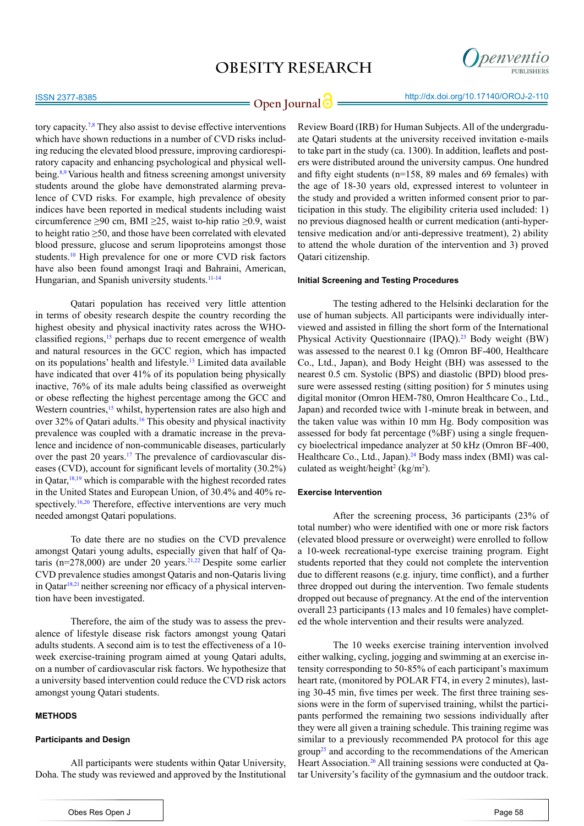

## **Open Journal | integral http://dx.doi.org/10.17140/OROJ-2-110**

tory capacity.[7,8](#page-4-2) They also assist to devise effective interventions which have shown reductions in a number of CVD risks including reducing the elevated blood pressure, improving cardiorespiratory capacity and enhancing psychological and physical wellbeing.[8,9](#page-4-3) Various health and fitness screening amongst university students around the globe have demonstrated alarming prevalence of CVD risks. For example, high prevalence of obesity indices have been reported in medical students including waist circumference  $\geq 90$  cm, BMI  $\geq 25$ , waist to-hip ratio  $\geq 0.9$ , waist to height ratio ≥50, and those have been correlated with elevated blood pressure, glucose and serum lipoproteins amongst those students[.10](#page-4-4) High prevalence for one or more CVD risk factors have also been found amongst Iraqi and Bahraini, American, Hungarian, and Spanish university students.<sup>11-14</sup>

Qatari population has received very little attention in terms of obesity research despite the country recording the highest obesity and physical inactivity rates across the WHOclassified regions,[15](#page-4-6) perhaps due to recent emergence of wealth and natural resources in the GCC region, which has impacted on its populations' health and lifestyle.[13](#page-4-7) Limited data available have indicated that over 41% of its population being physically inactive, 76% of its male adults being classified as overweight or obese reflecting the highest percentage among the GCC and Western countries,<sup>15</sup> whilst, hypertension rates are also high and over 32% of Qatari adults.[16](#page-4-8) This obesity and physical inactivity prevalence was coupled with a dramatic increase in the prevalence and incidence of non-communicable diseases, particularly over the past 20 years.<sup>17</sup> The prevalence of cardiovascular diseases (CVD), account for significant levels of mortality (30.2%) in Qatar,  $18,19$  which is comparable with the highest recorded rates in the United States and European Union, of 30.4% and 40% respectively.<sup>16,20</sup> Therefore, effective interventions are very much needed amongst Qatari populations.

To date there are no studies on the CVD prevalence amongst Qatari young adults, especially given that half of Qataris (n= $278,000$ ) are under 20 years.<sup>21,22</sup> Despite some earlier CVD prevalence studies amongst Qataris and non-Qataris living in Qatar $18,21$  $18,21$  neither screening nor efficacy of a physical intervention have been investigated.

Therefore, the aim of the study was to assess the prevalence of lifestyle disease risk factors amongst young Qatari adults students. A second aim is to test the effectiveness of a 10 week exercise-training program aimed at young Qatari adults, on a number of cardiovascular risk factors. We hypothesize that a university based intervention could reduce the CVD risk actors amongst young Qatari students.

#### **METHODS**

#### **Participants and Design**

All participants were students within Qatar University, Doha. The study was reviewed and approved by the Institutional

Obes Res Open J

Review Board (IRB) for Human Subjects. All of the undergraduate Qatari students at the university received invitation e-mails to take part in the study (ca. 1300). In addition, leaflets and posters were distributed around the university campus. One hundred and fifty eight students (n=158, 89 males and 69 females) with the age of 18-30 years old, expressed interest to volunteer in the study and provided a written informed consent prior to participation in this study. The eligibility criteria used included: 1) no previous diagnosed health or current medication (anti-hypertensive medication and/or anti-depressive treatment), 2) ability to attend the whole duration of the intervention and 3) proved Qatari citizenship.

#### **Initial Screening and Testing Procedures**

The testing adhered to the Helsinki declaration for the use of human subjects. All participants were individually interviewed and assisted in filling the short form of the International Physical Activity Questionnaire (IPAQ).[23](#page-5-4) Body weight (BW) was assessed to the nearest 0.1 kg (Omron BF-400, Healthcare Co., Ltd., Japan), and Body Height (BH) was assessed to the nearest 0.5 cm. Systolic (BPS) and diastolic (BPD) blood pressure were assessed resting (sitting position) for 5 minutes using digital monitor (Omron HEM-780, Omron Healthcare Co., Ltd., Japan) and recorded twice with 1-minute break in between, and the taken value was within 10 mm Hg. Body composition was assessed for body fat percentage (%BF) using a single frequency bioelectrical impedance analyzer at 50 kHz (Omron BF-400, Healthcare Co., Ltd., Japan). $^{24}$  $^{24}$  $^{24}$  Body mass index (BMI) was calculated as weight/height<sup>2</sup> (kg/m<sup>2</sup>).

#### **Exercise Intervention**

After the screening process, 36 participants (23% of total number) who were identified with one or more risk factors (elevated blood pressure or overweight) were enrolled to follow a 10-week recreational-type exercise training program. Eight students reported that they could not complete the intervention due to different reasons (e.g. injury, time conflict), and a further three dropped out during the intervention. Two female students dropped out because of pregnancy. At the end of the intervention overall 23 participants (13 males and 10 females) have completed the whole intervention and their results were analyzed.

The 10 weeks exercise training intervention involved either walking, cycling, jogging and swimming at an exercise intensity corresponding to 50-85% of each participant's maximum heart rate, (monitored by POLAR FT4, in every 2 minutes), lasting 30-45 min, five times per week. The first three training sessions were in the form of supervised training, whilst the participants performed the remaining two sessions individually after they were all given a training schedule. This training regime was similar to a previously recommended PA protocol for this age  $\text{group}^{25}$  and according to the recommendations of the American Heart Association.<sup>[26](#page-5-7)</sup> All training sessions were conducted at Qatar University's facility of the gymnasium and the outdoor track.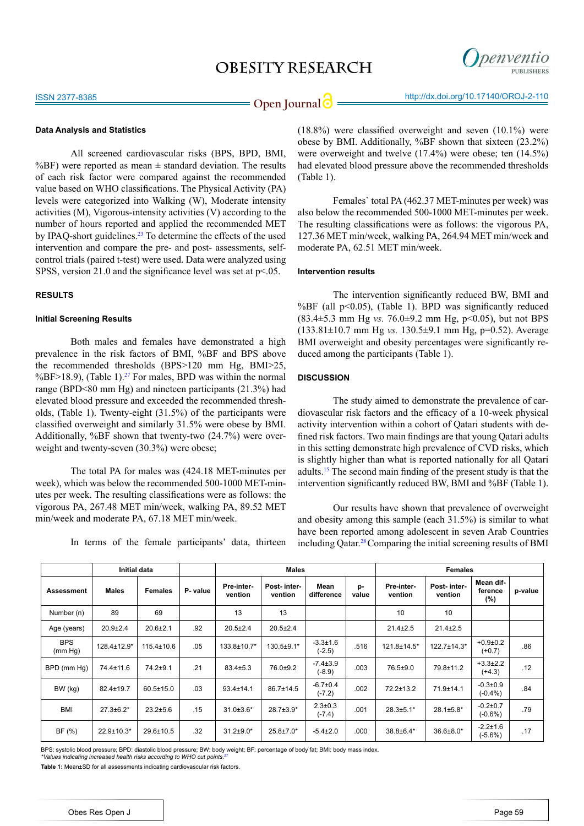

#### **Data Analysis and Statistics**

All screened cardiovascular risks (BPS, BPD, BMI, %BF) were reported as mean  $\pm$  standard deviation. The results of each risk factor were compared against the recommended value based on WHO classifications. The Physical Activity (PA) levels were categorized into Walking (W), Moderate intensity activities (M), Vigorous-intensity activities (V) according to the number of hours reported and applied the recommended MET by IPAQ-short guidelines.<sup>23</sup> To determine the effects of the used intervention and compare the pre- and post- assessments, selfcontrol trials (paired t-test) were used. Data were analyzed using SPSS, version 21.0 and the significance level was set at  $p<05$ .

#### **RESULTS**

#### **Initial Screening Results**

Both males and females have demonstrated a high prevalence in the risk factors of BMI, %BF and BPS above the recommended thresholds (BPS>120 mm Hg, BMI>25, %BF>18.9), (Table 1).<sup>27</sup> For males, BPD was within the normal range (BPD<80 mm Hg) and nineteen participants (21.3%) had elevated blood pressure and exceeded the recommended thresholds, (Table 1). Twenty-eight (31.5%) of the participants were classified overweight and similarly 31.5% were obese by BMI. Additionally, %BF shown that twenty-two (24.7%) were overweight and twenty-seven (30.3%) were obese;

The total PA for males was (424.18 MET-minutes per week), which was below the recommended 500-1000 MET-minutes per week. The resulting classifications were as follows: the vigorous PA, 267.48 MET min/week, walking PA, 89.52 MET min/week and moderate PA, 67.18 MET min/week.

In terms of the female participants' data, thirteen

(18.8%) were classified overweight and seven (10.1%) were obese by BMI. Additionally, %BF shown that sixteen (23.2%) were overweight and twelve (17.4%) were obese; ten (14.5%) had elevated blood pressure above the recommended thresholds (Table 1).

Females` total PA (462.37 MET-minutes per week) was also below the recommended 500-1000 MET-minutes per week. The resulting classifications were as follows: the vigorous PA, 127.36 MET min/week, walking PA, 264.94 MET min/week and moderate PA, 62.51 MET min/week.

#### **Intervention results**

The intervention significantly reduced BW, BMI and %BF (all  $p<0.05$ ), (Table 1). BPD was significantly reduced (83.4±5.3 mm Hg *vs.* 76.0±9.2 mm Hg, p<0.05), but not BPS  $(133.81 \pm 10.7 \text{ mm} \text{ Hz} \text{ vs. } 130.5 \pm 9.1 \text{ mm} \text{ Hz} \text{ . } p=0.52)$ . Average BMI overweight and obesity percentages were significantly reduced among the participants (Table 1).

#### **DISCUSSION**

The study aimed to demonstrate the prevalence of cardiovascular risk factors and the efficacy of a 10-week physical activity intervention within a cohort of Qatari students with defined risk factors. Two main findings are that young Qatari adults in this setting demonstrate high prevalence of CVD risks, which is slightly higher than what is reported nationally for all Qatari adults[.15](#page-4-6) The second main finding of the present study is that the intervention significantly reduced BW, BMI and %BF (Table 1).

Our results have shown that prevalence of overweight and obesity among this sample (each 31.5%) is similar to what have been reported among adolescent in seven Arab Countries including Qatar.[28](#page-5-9)Comparing the initial screening results of BMI

|                       | Initial data     |                  |          | <b>Males</b>          |                        |                            |             | <b>Females</b>        |                        |                                |         |
|-----------------------|------------------|------------------|----------|-----------------------|------------------------|----------------------------|-------------|-----------------------|------------------------|--------------------------------|---------|
| Assessment            | <b>Males</b>     | <b>Females</b>   | P- value | Pre-inter-<br>vention | Post-inter-<br>vention | Mean<br>difference         | p-<br>value | Pre-inter-<br>vention | Post-inter-<br>vention | Mean dif-<br>ference<br>$(\%)$ | p-value |
| Number (n)            | 89               | 69               |          | 13                    | 13                     |                            |             | 10                    | 10                     |                                |         |
| Age (years)           | $20.9{\pm}2.4$   | $20.6 + 2.1$     | .92      | $20.5 \pm 2.4$        | $20.5 \pm 2.4$         |                            |             | $21.4 \pm 2.5$        | $21.4 \pm 2.5$         |                                |         |
| <b>BPS</b><br>(mm Hq) | 128.4±12.9*      | $115.4 \pm 10.6$ | .05      | 133.8±10.7*           | 130.5±9.1*             | $-3.3 \pm 1.6$<br>$(-2.5)$ | .516        | 121.8±14.5*           | 122.7±14.3*            | $+0.9 + 0.2$<br>$(+0.7)$       | .86     |
| BPD (mm Hq)           | 74.4±11.6        | 74.2±9.1         | .21      | $83.4 \pm 5.3$        | 76.0±9.2               | $-7.4 \pm 3.9$<br>$(-8.9)$ | .003        | 76.5±9.0              | 79.8±11.2              | $+3.3 \pm 2.2$<br>$(+4.3)$     | .12     |
| BW (kg)               | 82.4±19.7        | $60.5 \pm 15.0$  | .03      | 93.4±14.1             | 86.7±14.5              | $-6.7 \pm 0.4$<br>$(-7.2)$ | .002        | 72.2±13.2             | 71.9±14.1              | $-0.3 \pm 0.9$<br>$(-0.4\%)$   | .84     |
| <b>BMI</b>            | $27.3 \pm 6.2^*$ | $23.2 \pm 5.6$   | .15      | $31.0 \pm 3.6^*$      | $28.7 \pm 3.9*$        | $2.3 \pm 0.3$<br>$(-7.4)$  | .001        | $28.3 \pm 5.1*$       | $28.1 \pm 5.8$ *       | $-0.2{\pm}0.7$<br>$(-0.6%)$    | .79     |
| BF(%)                 | $22.9 \pm 10.3*$ | 29.6±10.5        | .32      | $31.2 \pm 9.0*$       | $25.8 \pm 7.0*$        | $-5.4 \pm 2.0$             | .000        | 38.8±6.4*             | 36.6±8.0*              | $-2.2 \pm 1.6$<br>$(-5.6%)$    | .17     |

BPS: systolic blood pressure; BPD: diastolic blood pressure; BW: body weight; BF: percentage of body fat; BMI: body mass index. *\*Values indicating increased health risks according to WHO cut points.*[27](#page-5-8)

**Table 1:** Mean±SD for all assessments indicating cardiovascular risk factors.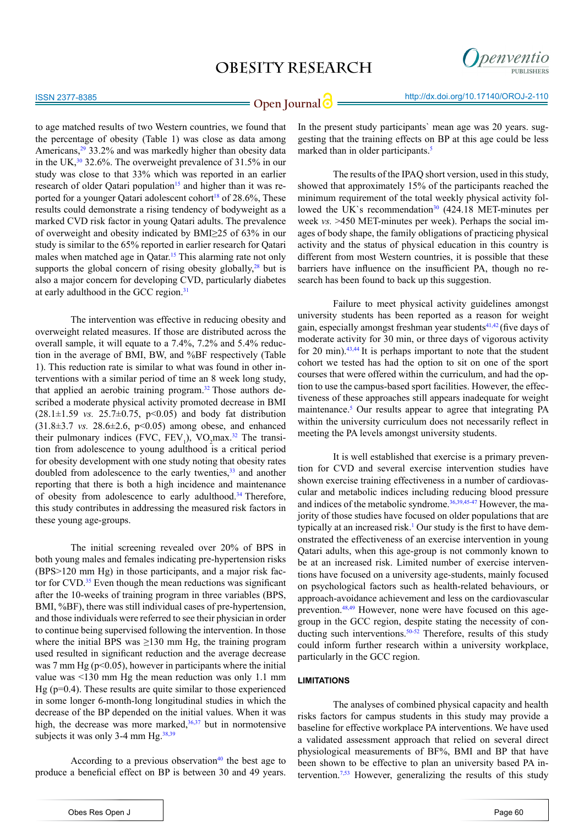

to age matched results of two Western countries, we found that the percentage of obesity (Table 1) was close as data among Americans,<sup>29</sup> 33.2% and was markedly higher than obesity data in the UK, $30\frac{32.6}{%}$ . The overweight prevalence of 31.5% in our study was close to that 33% which was reported in an earlier research of older Qatari population<sup>15</sup> and higher than it was reported for a younger Qatari adolescent cohort<sup>18</sup> of  $28.6\%$ , These results could demonstrate a rising tendency of bodyweight as a marked CVD risk factor in young Qatari adults. The prevalence of overweight and obesity indicated by BMI≥25 of 63% in our study is similar to the 65% reported in earlier research for Qatari males when matched age in Oatar.<sup>15</sup> This alarming rate not only supports the global concern of rising obesity globally, $28$  but is also a major concern for developing CVD, particularly diabetes at early adulthood in the GCC region.[31](#page-5-12)

The intervention was effective in reducing obesity and overweight related measures. If those are distributed across the overall sample, it will equate to a 7.4%, 7.2% and 5.4% reduction in the average of BMI, BW, and %BF respectively (Table 1). This reduction rate is similar to what was found in other interventions with a similar period of time an 8 week long study, that applied an aerobic training program[.32](#page-5-13) Those authors described a moderate physical activity promoted decrease in BMI  $(28.1 \pm 1.59 \text{ vs. } 25.7 \pm 0.75, \text{ p} < 0.05)$  and body fat distribution  $(31.8\pm3.7 \text{ vs. } 28.6\pm2.6, \text{ p} < 0.05)$  among obese, and enhanced their pulmonary indices (FVC,  $FEV_1$ ), VO<sub>2</sub>max.<sup>[32](#page-5-13)</sup> The transition from adolescence to young adulthood is a critical period for obesity development with one study noting that obesity rates doubled from adolescence to the early twenties, $33$  and another reporting that there is both a high incidence and maintenance of obesity from adolescence to early adulthood.<sup>34</sup> Therefore, this study contributes in addressing the measured risk factors in these young age-groups.

The initial screening revealed over 20% of BPS in both young males and females indicating pre-hypertension risks (BPS>120 mm Hg) in those participants, and a major risk factor for CVD. $35$  Even though the mean reductions was significant after the 10-weeks of training program in three variables (BPS, BMI, %BF), there was still individual cases of pre-hypertension, and those individuals were referred to see their physician in order to continue being supervised following the intervention. In those where the initial BPS was  $\geq 130$  mm Hg, the training program used resulted in significant reduction and the average decrease was 7 mm Hg ( $p<0.05$ ), however in participants where the initial value was <130 mm Hg the mean reduction was only 1.1 mm Hg ( $p=0.4$ ). These results are quite similar to those experienced in some longer 6-month-long longitudinal studies in which the decrease of the BP depended on the initial values. When it was high, the decrease was more marked, $36,37$  but in normotensive subjects it was only 3-4 mm  $Hg^{38,39}$  $Hg^{38,39}$  $Hg^{38,39}$ 

According to a previous observation $40$  the best age to produce a beneficial effect on BP is between 30 and 49 years.

In the present study participants` mean age was 20 years. suggesting that the training effects on BP at this age could be less marked than in older participants.<sup>5</sup>

The results of the IPAQ short version, used in this study, showed that approximately 15% of the participants reached the minimum requirement of the total weekly physical activity followed the UK`s recommendation $30(424.18 \text{ MET-minutes per})$ week *vs.* >450 MET-minutes per week). Perhaps the social images of body shape, the family obligations of practicing physical activity and the status of physical education in this country is different from most Western countries, it is possible that these barriers have influence on the insufficient PA, though no research has been found to back up this suggestion.

Failure to meet physical activity guidelines amongst university students has been reported as a reason for weight gain, especially amongst freshman year students<sup>41,42</sup> (five days of moderate activity for 30 min, or three days of vigorous activity for 20 min). $43,44$  It is perhaps important to note that the student cohort we tested has had the option to sit on one of the sport courses that were offered within the curriculum, and had the option to use the campus-based sport facilities. However, the effectiveness of these approaches still appears inadequate for weight maintenance.<sup>[5](#page-4-1)</sup> Our results appear to agree that integrating PA within the university curriculum does not necessarily reflect in meeting the PA levels amongst university students.

It is well established that exercise is a primary prevention for CVD and several exercise intervention studies have shown exercise training effectiveness in a number of cardiovascular and metabolic indices including reducing blood pressure and indices of the metabolic syndrome.<sup>36,[39,](#page-5-8)[45-47](#page-6-1)</sup> However, the majority of those studies have focused on older populations that are typically at an increased risk.<sup>[1](#page-4-0)</sup> Our study is the first to have demonstrated the effectiveness of an exercise intervention in young Qatari adults, when this age-group is not commonly known to be at an increased risk. Limited number of exercise interventions have focused on a university age-students, mainly focused on psychological factors such as health-related behaviours, or approach-avoidance achievement and less on the cardiovascular prevention.<sup>[48,49](#page-6-2)</sup> However, none were have focused on this agegroup in the GCC region, despite stating the necessity of conducting such interventions.<sup>50-52</sup> Therefore, results of this study could inform further research within a university workplace, particularly in the GCC region.

#### **LIMITATIONS**

The analyses of combined physical capacity and health risks factors for campus students in this study may provide a baseline for effective workplace PA interventions. We have used a validated assessment approach that relied on several direct physiological measurements of BF%, BMI and BP that have been shown to be effective to plan an university based PA in-tervention.<sup>[7,](#page-4-2)[53](#page-6-4)</sup> However, generalizing the results of this study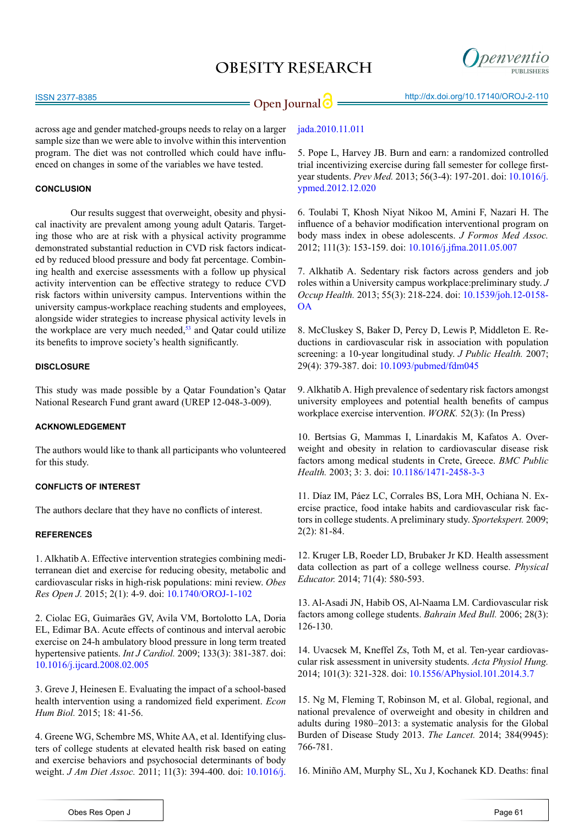

### **Open Journal | interpret in the Sepan Line Sepan Line Sepan Line Sepan Line Sepan Line Sepan Line Sepan Line Sepan Line Sepan Line Sepan Line Sepan Line Sepan Line Sepan Line Sepan Line Sepan Line Sepan Line Sepan Line Se**

across age and gender matched-groups needs to relay on a larger sample size than we were able to involve within this intervention program. The diet was not controlled which could have influenced on changes in some of the variables we have tested.

#### **CONCLUSION**

Our results suggest that overweight, obesity and physical inactivity are prevalent among young adult Qataris. Targeting those who are at risk with a physical activity programme demonstrated substantial reduction in CVD risk factors indicated by reduced blood pressure and body fat percentage. Combining health and exercise assessments with a follow up physical activity intervention can be effective strategy to reduce CVD risk factors within university campus. Interventions within the university campus-workplace reaching students and employees, alongside wider strategies to increase physical activity levels in the workplace are very much needed, $53$  and Qatar could utilize its benefits to improve society's health significantly.

#### **DISCLOSURE**

This study was made possible by a Qatar Foundation's Qatar National Research Fund grant award (UREP 12-048-3-009).

#### **ACKNOWLEDGEMENT**

The authors would like to thank all participants who volunteered for this study.

#### **CONFLICTS OF INTEREST**

The authors declare that they have no conflicts of interest.

#### **REFERENCES**

<span id="page-4-0"></span>1. Alkhatib A. Effective intervention strategies combining mediterranean diet and exercise for reducing obesity, metabolic and cardiovascular risks in high-risk populations: mini review. *Obes Res Open J.* 2015; 2(1): 4-9. doi: [10.1740/OROJ-1-102](http://openventio.org/Volume1_Issue1/Effective_Intervention_Strategies_Combining_Mediterranean_Diet_and_Exercise_for_Reducing_Obesity_Metabolic_and_Cardiovascular_Risks_in_High_Risk_Populations_Mini_Review_OROJ_1_102.pdf)

2. Ciolac EG, Guimarães GV, Avila VM, Bortolotto LA, Doria EL, Edimar BA. Acute effects of continous and interval aerobic exercise on 24-h ambulatory blood pressure in long term treated hypertensive patients. *Int J Cardiol.* 2009; 133(3): 381-387. doi: [10.1016/j.ijcard.2008.02.005](http://www.ncbi.nlm.nih.gov/pubmed/18501444)

3. Greve J, Heinesen E. Evaluating the impact of a school-based health intervention using a randomized field experiment. *Econ Hum Biol.* 2015; 18: 41-56.

4. Greene WG, Schembre MS, White AA, et al. Identifying clusters of college students at elevated health risk based on eating and exercise behaviors and psychosocial determinants of body weight. *J Am Diet Assoc.* 2011; 11(3): 394-400. doi: [10.1016/j.](http://www.ncbi.nlm.nih.gov/pubmed/21338738)

#### <span id="page-4-1"></span>[jada.2010.11.011](http://www.ncbi.nlm.nih.gov/pubmed/21338738)

5. Pope L, Harvey JB. Burn and earn: a randomized controlled trial incentivizing exercise during fall semester for college firstyear students. *Prev Med.* 2013; 56(3-4): 197-201. doi: [10.1016/j.](http://www.ncbi.nlm.nih.gov/pubmed/23295170) [ypmed.2012.12.020](http://www.ncbi.nlm.nih.gov/pubmed/23295170) 

6. Toulabi T, Khosh Niyat Nikoo M, Amini F, Nazari H. The influence of a behavior modification interventional program on body mass index in obese adolescents. *J Formos Med Assoc.* 2012; 111(3): 153-159. doi: [10.1016/j.jfma.2011.05.007](http://www.ncbi.nlm.nih.gov/pubmed/22423669) 

<span id="page-4-2"></span>7. Alkhatib A. Sedentary risk factors across genders and job roles within a University campus workplace:preliminary study. *J Occup Health.* 2013; 55(3): 218-224. doi: [10.1539/joh.12-0158-](https://www.jstage.jst.go.jp/article/joh/55/3/55_12-0158-OA/_article) [OA](https://www.jstage.jst.go.jp/article/joh/55/3/55_12-0158-OA/_article) 

<span id="page-4-3"></span>8. McCluskey S, Baker D, Percy D, Lewis P, Middleton E. Reductions in cardiovascular risk in association with population screening: a 10-year longitudinal study. *J Public Health.* 2007; 29(4): 379-387. doi: [10.1093/pubmed/fdm045](http://jpubhealth.oxfordjournals.org/content/29/4/379.long)

9. Alkhatib A. High prevalence of sedentary risk factors amongst university employees and potential health benefits of campus workplace exercise intervention. *WORK.* 52(3): (In Press)

<span id="page-4-4"></span>10. Bertsias G, Mammas I, Linardakis M, Kafatos A. Overweight and obesity in relation to cardiovascular disease risk factors among medical students in Crete, Greece. *BMC Public Health.* 2003; 3: 3. doi: [10.1186/1471-2458-3-3](http://www.ncbi.nlm.nih.gov/pmc/articles/PMC140012/)

<span id="page-4-5"></span>11. Díaz IM, Páez LC, Corrales BS, Lora MH, Ochiana N. Exercise practice, food intake habits and cardiovascular risk factors in college students. A preliminary study. *Sportekspert.* 2009; 2(2): 81-84.

12. Kruger LB, Roeder LD, Brubaker Jr KD. Health assessment data collection as part of a college wellness course. *Physical Educator.* 2014; 71(4): 580-593.

<span id="page-4-7"></span>13. Al-Asadi JN, Habib OS, Al-Naama LM. Cardiovascular risk factors among college students. *Bahrain Med Bull.* 2006; 28(3): 126-130.

14. Uvacsek M, Kneffel Zs, Toth M, et al. Ten-year cardiovascular risk assessment in university students. *Acta Physiol Hung.* 2014; 101(3): 321-328. doi: [10.1556/APhysiol.101.2014.3.7](http://www.ncbi.nlm.nih.gov/pubmed/25183506)

<span id="page-4-6"></span>15. Ng M, Fleming T, Robinson M, et al. Global, regional, and national prevalence of overweight and obesity in children and adults during 1980–2013: a systematic analysis for the Global Burden of Disease Study 2013. *The Lancet.* 2014; 384(9945): 766-781.

<span id="page-4-8"></span>16. Miniño AM, Murphy SL, Xu J, Kochanek KD. Deaths: final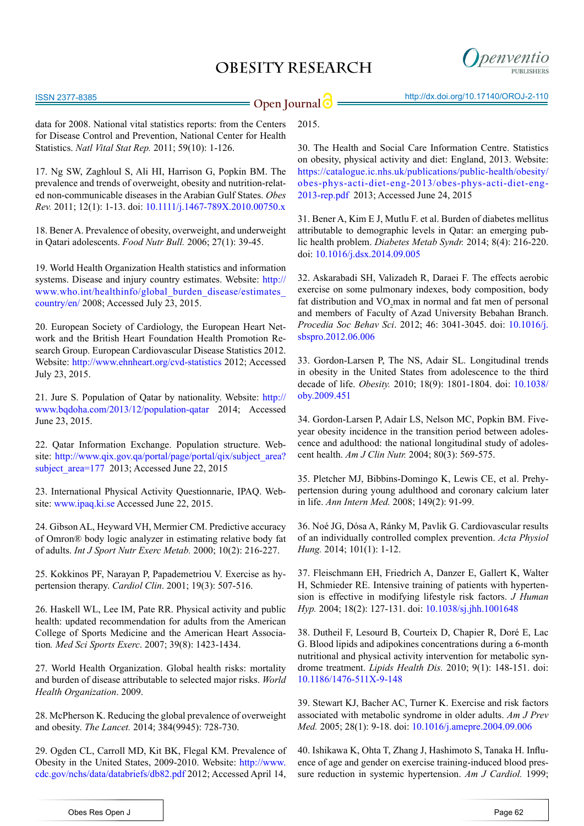

2015.

data for 2008. National vital statistics reports: from the Centers for Disease Control and Prevention, National Center for Health Statistics. *Natl Vital Stat Rep.* 2011; 59(10): 1-126.

<span id="page-5-0"></span>17. Ng SW, Zaghloul S, Ali HI, Harrison G, Popkin BM. The prevalence and trends of overweight, obesity and nutrition-related non-communicable diseases in the Arabian Gulf States. *Obes Rev.* 2011; 12(1): 1-13. doi: [10.1111/j.1467-789X.2010.00750.x](http://www.ncbi.nlm.nih.gov/pubmed/20546144) 

<span id="page-5-1"></span>18. Bener A. Prevalence of obesity, overweight, and underweight in Qatari adolescents. *Food Nutr Bull.* 2006; 27(1): 39-45.

19. World Health Organization Health statistics and information systems. Disease and injury country estimates. Website: [http://](http://www.who.int/healthinfo/global_burden_disease/estimates_country/en/) [www.who.int/healthinfo/global\\_burden\\_disease/estimates\\_](http://www.who.int/healthinfo/global_burden_disease/estimates_country/en/) [country/en/](http://www.who.int/healthinfo/global_burden_disease/estimates_country/en/) 2008; Accessed July 23, 2015.

<span id="page-5-2"></span>20. European Society of Cardiology, the European Heart Network and the British Heart Foundation Health Promotion Research Group. European Cardiovascular Disease Statistics 2012. Website: <http://www.ehnheart.org/cvd-statistics> 2012; Accessed July 23, 2015.

<span id="page-5-3"></span>21. Jure S. Population of Qatar by nationality. Website: [http://](http://www.bqdoha.com/2013/12/population-qatar) [www.bqdoha.com/2013/12/population-qatar](http://www.bqdoha.com/2013/12/population-qatar) 2014; Accessed June 23, 2015.

22. Qatar Information Exchange. Population structure. Website: [http://www.qix.gov.qa/portal/page/portal/qix/subject\\_area?](http://www.qix.gov.qa/portal/page/portal/qix/subject_area%3Fsubject_area%3D177) subject  $area=177$  2013; Accessed June 22, 2015

<span id="page-5-4"></span>23. International Physical Activity Questionnarie, IPAQ. Website:<www.ipaq.ki.se>Accessed June 22, 2015.

<span id="page-5-5"></span>24. Gibson AL, Heyward VH, Mermier CM. Predictive accuracy of Omron® body logic analyzer in estimating relative body fat of adults. *Int J Sport Nutr Exerc Metab.* 2000; 10(2): 216-227.

<span id="page-5-6"></span>25. Kokkinos PF, Narayan P, Papademetriou V. Exercise as hypertension therapy. *Cardiol Clin*. 2001; 19(3): 507-516.

<span id="page-5-7"></span>26. Haskell WL, Lee IM, Pate RR. Physical activity and public health: updated recommendation for adults from the American College of Sports Medicine and the American Heart Association*. Med Sci Sports Exerc*. 2007; 39(8): 1423-1434.

<span id="page-5-8"></span>27. World Health Organization. Global health risks: mortality and burden of disease attributable to selected major risks. *World Health Organization*. 2009.

<span id="page-5-9"></span>28. McPherson K. Reducing the global prevalence of overweight and obesity. *The Lancet.* 2014; 384(9945): 728-730.

<span id="page-5-10"></span>29. Ogden CL, Carroll MD, Kit BK, Flegal KM. Prevalence of Obesity in the United States, 2009-2010. Website: [http://www.](http://www.cdc.gov/nchs/data/databriefs/db82.pdf%0D) [cdc.gov/nchs/data/databriefs/db82.pdf](http://www.cdc.gov/nchs/data/databriefs/db82.pdf%0D) 2012; Accessed April 14,

<span id="page-5-11"></span>30. The Health and Social Care Information Centre. Statistics on obesity, physical activity and diet: England, 2013. Website: [https://catalogue.ic.nhs.uk/publications/public-health/obesity/](https://catalogue.ic.nhs.uk/publications/public-health/obesity/obes-phys-acti-diet-eng-2013/obes-phys-acti-diet-eng-2013-rep.pdf) [obes-phys-acti-diet-eng-2013/obes-phys-acti-diet-eng-](https://catalogue.ic.nhs.uk/publications/public-health/obesity/obes-phys-acti-diet-eng-2013/obes-phys-acti-diet-eng-2013-rep.pdf)[2013-rep.pdf](https://catalogue.ic.nhs.uk/publications/public-health/obesity/obes-phys-acti-diet-eng-2013/obes-phys-acti-diet-eng-2013-rep.pdf) 2013; Accessed June 24, 2015

<span id="page-5-12"></span>31. Bener A, Kim E J, Mutlu F. et al. Burden of diabetes mellitus attributable to demographic levels in Qatar: an emerging public health problem. *Diabetes Metab Syndr.* 2014; 8(4): 216-220. doi: [10.1016/j.dsx.2014.09.005](http://www.sciencedirect.com/science/article/pii/S1871402114000824) 

<span id="page-5-13"></span>32. Askarabadi SH, Valizadeh R, Daraei F. The effects aerobic exercise on some pulmonary indexes, body composition, body fat distribution and  $VO<sub>2</sub>$  max in normal and fat men of personal and members of Faculty of Azad University Bebahan Branch. *Procedia Soc Behav Sci*. 2012; 46: 3041-3045. doi: [10.1016/j.](http://www.sciencedirect.com/science/article/pii/S1877042812017429) [sbspro.2012.06.006](http://www.sciencedirect.com/science/article/pii/S1877042812017429)

<span id="page-5-14"></span>33. Gordon-Larsen P, The NS, Adair SL. Longitudinal trends in obesity in the United States from adolescence to the third decade of life. *Obesity.* 2010; 18(9): 1801-1804. doi: [10.1038/](http://www.ncbi.nlm.nih.gov/pubmed/20035278) [oby.2009.451](http://www.ncbi.nlm.nih.gov/pubmed/20035278)

<span id="page-5-15"></span>34. Gordon-Larsen P, Adair LS, Nelson MC, Popkin BM. Fiveyear obesity incidence in the transition period between adolescence and adulthood: the national longitudinal study of adolescent health. *Am J Clin Nutr.* 2004; 80(3): 569-575.

<span id="page-5-16"></span>35. Pletcher MJ, Bibbins-Domingo K, Lewis CE, et al. Prehypertension during young adulthood and coronary calcium later in life. *Ann Intern Med.* 2008; 149(2): 91-99.

<span id="page-5-17"></span>36. Noé JG, Dósa A, Ránky M, Pavlik G. Cardiovascular results of an individually controlled complex prevention. *Acta Physiol Hung.* 2014; 101(1): 1-12.

37. Fleischmann EH, Friedrich A, Danzer E, Gallert K, Walter H, Schmieder RE. Intensive training of patients with hypertension is effective in modifying lifestyle risk factors. *J Human Hyp.* 2004; 18(2): 127-131. doi: [10.1038/sj.jhh.1001648](http://www.nature.com/jhh/journal/v18/n2/full/1001648a.html)

<span id="page-5-18"></span>38. Dutheil F, Lesourd B, Courteix D, Chapier R, Doré E, Lac G. Blood lipids and adipokines concentrations during a 6-month nutritional and physical activity intervention for metabolic syndrome treatment. *Lipids Health Dis.* 2010; 9(1): 148-151. doi: [10.1186/1476-511X-9-148](http://www.ncbi.nlm.nih.gov/pubmed/21194421)

39. Stewart KJ, Bacher AC, Turner K. Exercise and risk factors associated with metabolic syndrome in older adults. *Am J Prev Med.* 2005; 28(1): 9-18. doi: [10.1016/j.amepre.2004.09.006](http://www.ajpmonline.org/article/S0749-3797%2804%2900245-4/abstract)

<span id="page-5-19"></span>40. Ishikawa K, Ohta T, Zhang J, Hashimoto S, Tanaka H. Influence of age and gender on exercise training-induced blood pressure reduction in systemic hypertension. *Am J Cardiol.* 1999;